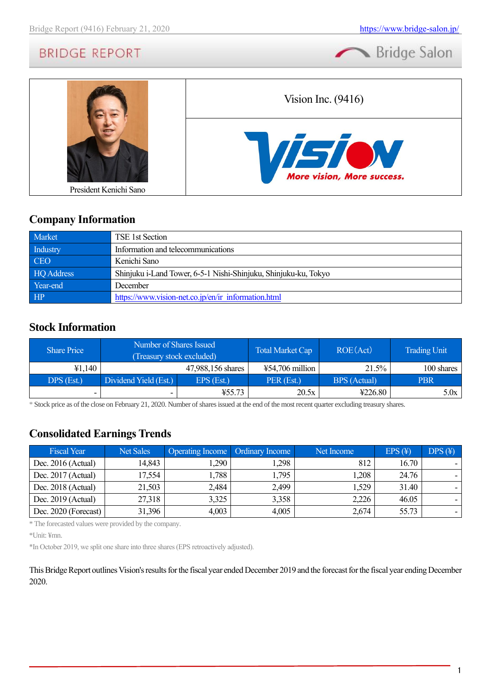



## **Company Information**

| Market     | TSE 1st Section                                                 |
|------------|-----------------------------------------------------------------|
| Industry   | Information and telecommunications                              |
| <b>CEO</b> | Kenichi Sano                                                    |
| HQ Address | Shinjuku i-Land Tower, 6-5-1 Nishi-Shinjuku, Shinjuku-ku, Tokyo |
| Year-end   | December                                                        |
| HP         | https://www.vision-net.co.jp/en/ir information.html             |

## **Stock Information**

| <b>Share Price</b> |                          | Number of Shares Issued<br><b>Total Market Cap</b><br>(Treasury stock excluded) |                           |              | <b>Trading Unit</b> |
|--------------------|--------------------------|---------------------------------------------------------------------------------|---------------------------|--------------|---------------------|
| ¥1,140             |                          | 47,988,156 shares                                                               | $\text{\#}54,706$ million | 21.5%        | 100 shares          |
| DPS (Est.)         | Dividend Yield (Est.)    | EPS (Est.)                                                                      | PER (Est.)                | BPS (Actual) | <b>PBR</b>          |
| -                  | $\overline{\phantom{0}}$ | 455.73                                                                          | 20.5x                     | 4226.80      | 5.0x                |

\* Stock price as of the close on February 21, 2020. Number of shares issued at the end of the most recent quarter excluding treasury shares.

# **Consolidated Earnings Trends**

| <b>Fiscal Year</b>   | <b>Net Sales</b> | <b>Operating Income</b>   Ordinary Income |       | Net Income | $EPS(\textnormal{\texttt{F}})$ | $DPS(\textnormal{\texttt{F}})$ |
|----------------------|------------------|-------------------------------------------|-------|------------|--------------------------------|--------------------------------|
| Dec. $2016$ (Actual) | 14,843           | 1,290                                     | .298  | 812        | 16.70                          |                                |
| Dec. $2017$ (Actual) | 17,554           | 1,788                                     | 1,795 | ,208       | 24.76                          |                                |
| Dec. $2018$ (Actual) | 21,503           | 2,484                                     | 2,499 | .,529      | 31.40                          |                                |
| Dec. $2019$ (Actual) | 27,318           | 3,325                                     | 3,358 | 2,226      | 46.05                          |                                |
| Dec. 2020 (Forecast) | 31,396           | 4,003                                     | 4,005 | 2,674      | 55.73                          |                                |

\* The forecasted values were provided by the company.

\*Unit: ¥mn.

\*In October 2019, we split one share into three shares (EPS retroactively adjusted).

This Bridge Report outlines Vision's results for the fiscal year ended December 2019 and the forecast for the fiscal year ending December 2020.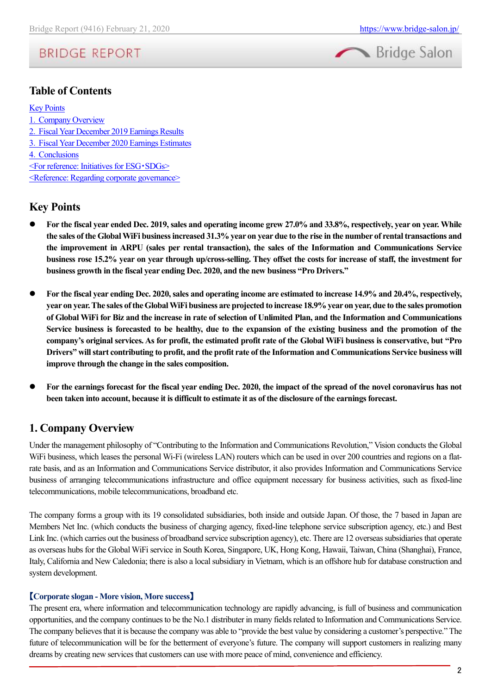

## **Table of Contents**

#### [Key Points](#page-1-0)

.[Company Overview](#page-1-1) .Fiscal Year December 2019 Earnings Results .[Fiscal Year December 2020](#page-10-0) Earnings Estimates .[Conclusions](#page-14-0) [<For reference: Initiatives for ESG](#page-14-1)・SDGs> [<Reference: Regarding corporate governance>](#page-15-0)

## <span id="page-1-0"></span>**Key Points**

- ⚫ **For the fiscal year ended Dec. 2019, sales and operating income grew 27.0% and 33.8%, respectively, year on year. While the sales of the Global WiFi business increased 31.3% year on year due to the rise in the number of rental transactions and the improvement in ARPU (sales per rental transaction), the sales of the Information and Communications Service business rose 15.2% year on year through up/cross-selling. They offset the costs for increase of staff, the investment for business growth in the fiscal year ending Dec. 2020, and the new business "Pro Drivers."**
- ⚫ **For the fiscal year ending Dec. 2020, sales and operating income are estimated to increase 14.9% and 20.4%, respectively, year on year. The sales of the Global WiFi business are projected to increase 18.9% year on year, due to the sales promotion of Global WiFi for Biz and the increase in rate of selection of Unlimited Plan, and the Information and Communications Service business is forecasted to be healthy, due to the expansion of the existing business and the promotion of the company's original services. As for profit, the estimated profit rate of the Global WiFi business is conservative, but "Pro Drivers" will start contributing to profit, and the profit rate of the Information and Communications Service business will improve through the change in the sales composition.**
- ⚫ **For the earnings forecast for the fiscal year ending Dec. 2020, the impact of the spread of the novel coronavirus has not been taken into account, because it is difficult to estimate it as of the disclosure of the earnings forecast.**

## <span id="page-1-1"></span>**1. Company Overview**

Under the management philosophy of "Contributing to the Information and Communications Revolution," Vision conducts the Global WiFi business, which leases the personal Wi-Fi (wireless LAN) routers which can be used in over 200 countries and regions on a flatrate basis, and as an Information and Communications Service distributor, it also provides Information and Communications Service business of arranging telecommunications infrastructure and office equipment necessary for business activities, such as fixed-line telecommunications, mobile telecommunications, broadband etc.

The company forms a group with its 19 consolidated subsidiaries, both inside and outside Japan. Of those, the 7 based in Japan are Members Net Inc. (which conducts the business of charging agency, fixed-line telephone service subscription agency, etc.) and Best Link Inc. (which carries out the business of broadband service subscription agency), etc. There are 12 overseas subsidiaries that operate as overseas hubs for the Global WiFi service in South Korea, Singapore, UK, Hong Kong, Hawaii, Taiwan, China (Shanghai), France, Italy, California and New Caledonia; there is also a local subsidiary in Vietnam, which is an offshore hub for database construction and system development.

#### 【**Corporate slogan - More vision, More success**】

The present era, where information and telecommunication technology are rapidly advancing, is full of business and communication opportunities, and the company continues to be the No.1 distributer in many fields related to Information and Communications Service. The company believes that it is because the company was able to "provide the best value by considering a customer's perspective." The future of telecommunication will be for the betterment of everyone's future. The company will support customers in realizing many dreams by creating new services that customers can use with more peace of mind, convenience and efficiency.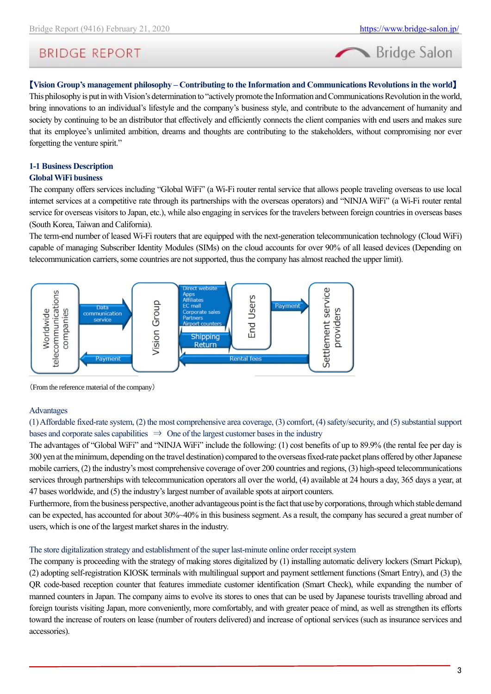

### 【**Vision Group's management philosophy – Contributing to the Information and Communications Revolutions in the world**】

This philosophy is put in with Vision's determination to "actively promote the Information and Communications Revolution in the world, bring innovations to an individual's lifestyle and the company's business style, and contribute to the advancement of humanity and society by continuing to be an distributor that effectively and efficiently connects the client companies with end users and makes sure that its employee's unlimited ambition, dreams and thoughts are contributing to the stakeholders, without compromising nor ever forgetting the venture spirit."

#### **1-1 Business Description Global WiFi business**

The company offers services including "Global WiFi" (a Wi-Fi router rental service that allows people traveling overseas to use local internet services at a competitive rate through its partnerships with the overseas operators) and "NINJA WiFi" (a Wi-Fi router rental service for overseas visitors to Japan, etc.), while also engaging in services for the travelers between foreign countries in overseas bases (South Korea, Taiwan and California).

The term-end number of leased Wi-Fi routers that are equipped with the next-generation telecommunication technology (Cloud WiFi) capable of managing Subscriber Identity Modules (SIMs) on the cloud accounts for over 90% of all leased devices (Depending on telecommunication carriers, some countries are not supported, thus the company has almost reached the upper limit).



(From the reference material of the company)

#### Advantages

(1) Affordable fixed-rate system, (2) the most comprehensive area coverage, (3) comfort, (4) safety/security, and (5) substantial support bases and corporate sales capabilities  $\Rightarrow$  One of the largest customer bases in the industry

The advantages of "Global WiFi" and "NINJA WiFi" include the following: (1) cost benefits of up to 89.9% (the rental fee per day is 300 yen at the minimum, depending on the travel destination) compared to the overseas fixed-rate packet plans offered by other Japanese mobile carriers, (2) the industry's most comprehensive coverage of over 200 countries and regions, (3) high-speed telecommunications services through partnerships with telecommunication operators all over the world, (4) available at 24 hours a day, 365 days a year, at 47 bases worldwide, and (5) the industry's largest number of available spots at airport counters.

Furthermore, from the business perspective, another advantageous point is the fact that use by corporations, through which stable demand can be expected, has accounted for about 30%~40% in this business segment. As a result, the company has secured a great number of users, which is one of the largest market shares in the industry.

#### The store digitalization strategy and establishment of the super last-minute online order receipt system

The company is proceeding with the strategy of making stores digitalized by (1) installing automatic delivery lockers (Smart Pickup), (2) adopting self-registration KIOSK terminals with multilingual support and payment settlement functions (Smart Entry), and (3) the QR code-based reception counter that features immediate customer identification (Smart Check), while expanding the number of manned counters in Japan. The company aims to evolve its stores to ones that can be used by Japanese tourists travelling abroad and foreign tourists visiting Japan, more conveniently, more comfortably, and with greater peace of mind, as well as strengthen its efforts toward the increase of routers on lease (number of routers delivered) and increase of optional services (such as insurance services and accessories).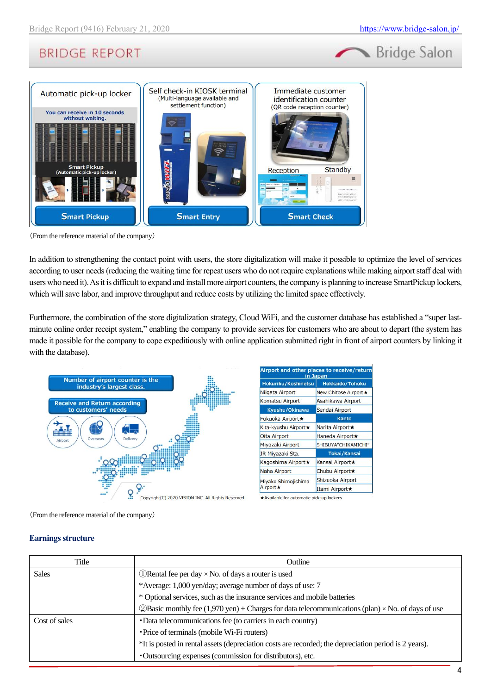



(From the reference material of the company)

In addition to strengthening the contact point with users, the store digitalization will make it possible to optimize the level of services according to user needs (reducing the waiting time for repeat users who do not require explanations while making airport staff deal with users who need it). As it is difficult to expand and install more airport counters, the company is planning to increase SmartPickup lockers, which will save labor, and improve throughput and reduce costs by utilizing the limited space effectively.

Furthermore, the combination of the store digitalization strategy, Cloud WiFi, and the customer database has established a "super lastminute online order receipt system," enabling the company to provide services for customers who are about to depart (the system has made it possible for the company to cope expeditiously with online application submitted right in front of airport counters by linking it with the database).



| Airport and other places to receive/return<br>in Japan |                        |  |  |  |  |
|--------------------------------------------------------|------------------------|--|--|--|--|
| Hokuriku/Koshinetsu                                    | <b>Hokkaido/Tohoku</b> |  |  |  |  |
| Niigata Airport                                        | New Chitose Airport ★  |  |  |  |  |
| <b>Komatsu Airport</b>                                 | Asahikawa Airport      |  |  |  |  |
| Kyushu/Okinawa                                         | Sendai Airport         |  |  |  |  |
| <b>Fukuoka Airport★</b>                                | Kanto                  |  |  |  |  |
| Kita-kyushu Airport★                                   | Narita Airport★        |  |  |  |  |
| Oita Airport                                           | Haneda Airport★        |  |  |  |  |
| Miyazaki Airport                                       | SHIBUYA"CHIKAMICHI"    |  |  |  |  |
| JR Miyazaki Sta.                                       | <b>Tokai/Kansai</b>    |  |  |  |  |
| Kagoshima Airport★                                     | Kansai Airport★        |  |  |  |  |
| Naha Airport                                           | Chubu Airport★         |  |  |  |  |
| Miyako Shimojishima                                    | Shizuoka Airport       |  |  |  |  |
| <b>Airport ★</b>                                       | Itami Airport★         |  |  |  |  |

(From the reference material of the company)

#### **Earnings structure**

| Title         | Outline                                                                                                   |
|---------------|-----------------------------------------------------------------------------------------------------------|
| <b>Sales</b>  | $\Box$ Rental fee per day $\times$ No. of days a router is used                                           |
|               | *Average: 1,000 yen/day; average number of days of use: 7                                                 |
|               | * Optional services, such as the insurance services and mobile batteries                                  |
|               | $\oslash$ Basic monthly fee (1,970 yen) + Charges for data telecommunications (plan) × No. of days of use |
| Cost of sales | • Data telecommunications fee (to carriers in each country)                                               |
|               | · Price of terminals (mobile Wi-Fi routers)                                                               |
|               | *It is posted in rental assets (depreciation costs are recorded; the depreciation period is 2 years).     |
|               | • Outsourcing expenses (commission for distributors), etc.                                                |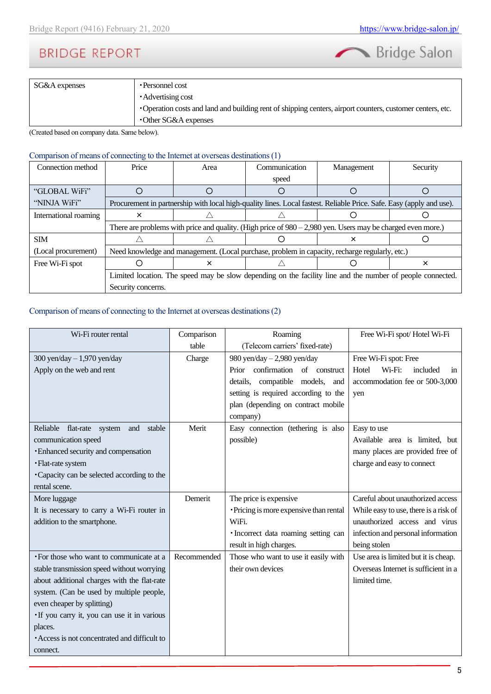

| SG&A expenses | • Personnel cost                                                                                           |
|---------------|------------------------------------------------------------------------------------------------------------|
|               | • Advertising cost                                                                                         |
|               | • Operation costs and land and building rent of shipping centers, airport counters, customer centers, etc. |
|               | •Other SG&A expenses                                                                                       |

(Created based on company data. Same below).

#### Comparison of means of connecting to the Internet at overseas destinations (1)

| Connection method     | Price                                                                                                      | Area | Communication                                                                                                        | Management | Security |  |  |  |
|-----------------------|------------------------------------------------------------------------------------------------------------|------|----------------------------------------------------------------------------------------------------------------------|------------|----------|--|--|--|
|                       |                                                                                                            |      | speed                                                                                                                |            |          |  |  |  |
| "GLOBAL WiFi"         |                                                                                                            |      |                                                                                                                      |            |          |  |  |  |
| "NINJA WiFi"          |                                                                                                            |      | Procurement in partnership with local high-quality lines. Local fastest. Reliable Price. Safe. Easy (apply and use). |            |          |  |  |  |
| International roaming | ×                                                                                                          |      |                                                                                                                      |            |          |  |  |  |
|                       |                                                                                                            |      | There are problems with price and quality. (High price of $980 - 2,980$ yen. Users may be charged even more.)        |            |          |  |  |  |
| <b>SIM</b>            |                                                                                                            |      |                                                                                                                      | x          |          |  |  |  |
| (Local procurement)   |                                                                                                            |      | Need knowledge and management. (Local purchase, problem in capacity, recharge regularly, etc.)                       |            |          |  |  |  |
| Free Wi-Fi spot       | ×                                                                                                          |      |                                                                                                                      |            | ×        |  |  |  |
|                       | Limited location. The speed may be slow depending on the facility line and the number of people connected. |      |                                                                                                                      |            |          |  |  |  |
|                       | Security concerns.                                                                                         |      |                                                                                                                      |            |          |  |  |  |

#### Comparison of means of connecting to the Internet at overseas destinations (2)

| Wi-Fi router rental                           | Comparison  | Roaming                                 | Free Wi-Fi spot/Hotel Wi-Fi           |
|-----------------------------------------------|-------------|-----------------------------------------|---------------------------------------|
|                                               | table       | (Telecom carriers' fixed-rate)          |                                       |
| 300 yen/day $-1,970$ yen/day                  | Charge      | 980 yen/day $-2,980$ yen/day            | Free Wi-Fi spot: Free                 |
| Apply on the web and rent                     |             | Prior confirmation of construct         | Wi-Fi:<br>Hotel<br>included<br>1n     |
|                                               |             | details, compatible models,<br>and      | accommodation fee or 500-3,000        |
|                                               |             | setting is required according to the    | yen                                   |
|                                               |             | plan (depending on contract mobile      |                                       |
|                                               |             | company)                                |                                       |
| Reliable<br>flat-rate system<br>stable<br>and | Merit       | Easy connection (tethering is also      | Easy to use                           |
| communication speed                           |             | possible)                               | Available area is limited, but        |
| <b>Enhanced security and compensation</b>     |             |                                         | many places are provided free of      |
| · Flat-rate system                            |             |                                         | charge and easy to connect            |
| • Capacity can be selected according to the   |             |                                         |                                       |
| rental scene.                                 |             |                                         |                                       |
| More luggage                                  | Demerit     | The price is expensive                  | Careful about unauthorized access     |
| It is necessary to carry a Wi-Fi router in    |             | · Pricing is more expensive than rental | While easy to use, there is a risk of |
| addition to the smartphone.                   |             | WiFi.                                   | unauthorized access and virus         |
|                                               |             | · Incorrect data roaming setting can    | infection and personal information    |
|                                               |             | result in high charges.                 | being stolen                          |
| • For those who want to communicate at a      | Recommended | Those who want to use it easily with    | Use area is limited but it is cheap.  |
| stable transmission speed without worrying    |             | their own devices                       | Overseas Internet is sufficient in a  |
| about additional charges with the flat-rate   |             |                                         | limited time.                         |
| system. (Can be used by multiple people,      |             |                                         |                                       |
| even cheaper by splitting)                    |             |                                         |                                       |
| If you carry it, you can use it in various    |             |                                         |                                       |
| places.                                       |             |                                         |                                       |
| • Access is not concentrated and difficult to |             |                                         |                                       |
| connect.                                      |             |                                         |                                       |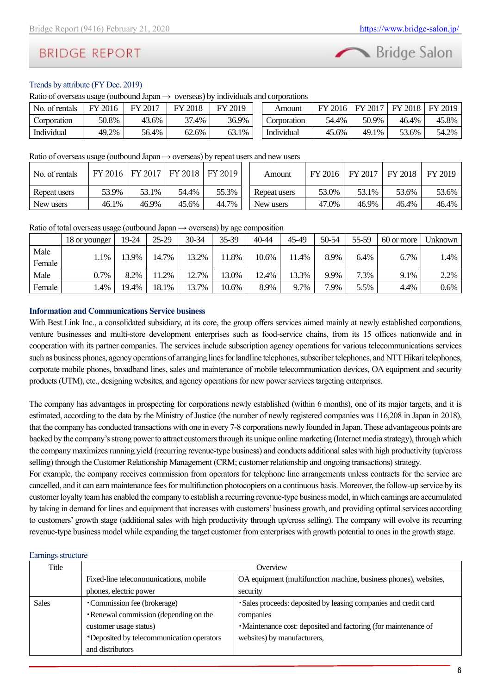

### Trends by attribute (FY Dec. 2019)

Ratio of overseas usage (outbound Japan  $\rightarrow$  overseas) by individuals and corporations

| No. of rentals | 2016<br>EV | 2017<br>FV | 2018  | ЧV<br>2019 | Amount      | FY.<br>2016 | FУ<br>2017 | 2018<br>FY | FY 2019 |
|----------------|------------|------------|-------|------------|-------------|-------------|------------|------------|---------|
| Corporation    | 50.8%      | 43.6%      | $4\%$ | 36.9%      | Corporation | 54.4%       | 50.9%      | 46.4%      | 45.8%   |
| Individual     | 49.2%      | 56.4%      | 62.6% | 63.1%      | Individual  | 45.6%       | 49.1%      | - 3.6%     | 54.2%   |

Ratio of overseas usage (outbound Japan  $\rightarrow$  overseas) by repeat users and new users

| No. of rentals |       | FY 2016   FY 2017   FY 2018   FY 2019 |       |       | Amount       | FY 2016 | FY 2017 | FY 2018 | FY 2019 |
|----------------|-------|---------------------------------------|-------|-------|--------------|---------|---------|---------|---------|
| Repeat users   | 53.9% | 53.1%                                 | 54.4% | 55.3% | Repeat users | 53.0%   | 53.1%   | 53.6%   | 53.6%   |
| New users      | 46.1% | 46.9%                                 | 45.6% | 44.7% | New users    | 47.0%   | 46.9%   | 46.4%   | 46.4%   |

Ratio of total overseas usage (outbound Japan  $\rightarrow$  overseas) by age composition

|                | 18 or younger | 19-24 | $25-29$ | 30-34 | 35-39 | $40 - 44$ | 45-49 | 50-54 | 55-59 | 60 or more | Unknown |
|----------------|---------------|-------|---------|-------|-------|-----------|-------|-------|-------|------------|---------|
| Male<br>Female | 1.1%          | 13.9% | 14.7%   | 13.2% | .8%   | 10.6%     | .4%   | 8.9%  | 6.4%  | 6.7%       | 1.4%    |
| Male           | 0.7%          | 8.2%  | .2%     | 12.7% | 3.0%  | 12.4%     | 13.3% | 9.9%  | 7.3%  | 9.1%       | 2.2%    |
| Female         | 1.4%          | 19.4% | 18.1%   | 13.7% | 10.6% | 8.9%      | 9.7%  | 7.9%  | 5.5%  | 4.4%       | $0.6\%$ |

#### **Information and Communications Service business**

With Best Link Inc., a consolidated subsidiary, at its core, the group offers services aimed mainly at newly established corporations, venture businesses and multi-store development enterprises such as food-service chains, from its 15 offices nationwide and in cooperation with its partner companies. The services include subscription agency operations for various telecommunications services such as business phones, agency operations of arranging lines for landline telephones, subscribertelephones, and NTT Hikari telephones, corporate mobile phones, broadband lines, sales and maintenance of mobile telecommunication devices, OA equipment and security products (UTM), etc., designing websites, and agency operations for new power services targeting enterprises.

The company has advantages in prospecting for corporations newly established (within 6 months), one of its major targets, and it is estimated, according to the data by the Ministry of Justice (the number of newly registered companies was 116,208 in Japan in 2018), that the company has conducted transactions with one in every 7-8 corporations newly founded in Japan. These advantageous points are backed by the company's strong power to attract customers through its unique online marketing (Internet media strategy), through which the company maximizes running yield (recurring revenue-type business) and conducts additional sales with high productivity (up/cross selling) through the Customer Relationship Management (CRM; customer relationship and ongoing transactions) strategy.

For example, the company receives commission from operators for telephone line arrangements unless contracts for the service are cancelled, and it can earn maintenance fees for multifunction photocopiers on a continuous basis. Moreover, the follow-up service by its customer loyalty team has enabled the company to establish a recurring revenue-type business model, in which earnings are accumulated by taking in demand for lines and equipment that increases with customers' business growth, and providing optimal services according to customers' growth stage (additional sales with high productivity through up/cross selling). The company will evolve its recurring revenue-type business model while expanding the target customer from enterprises with growth potential to ones in the growth stage.

#### Earnings structure

| Title        | Overview                                  |                                                                  |  |  |  |  |  |
|--------------|-------------------------------------------|------------------------------------------------------------------|--|--|--|--|--|
|              | Fixed-line telecommunications, mobile     | OA equipment (multifunction machine, business phones), websites, |  |  |  |  |  |
|              | phones, electric power                    | security                                                         |  |  |  |  |  |
| <b>Sales</b> | •Commission fee (brokerage)               | · Sales proceeds: deposited by leasing companies and credit card |  |  |  |  |  |
|              | • Renewal commission (depending on the    | companies                                                        |  |  |  |  |  |
|              | customer usage status)                    | • Maintenance cost: deposited and factoring (for maintenance of  |  |  |  |  |  |
|              | *Deposited by telecommunication operators | websites) by manufacturers,                                      |  |  |  |  |  |
|              | and distributors                          |                                                                  |  |  |  |  |  |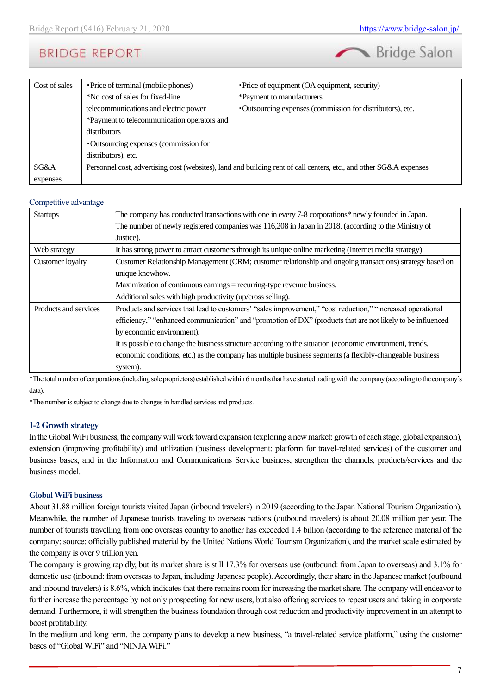

| Cost of sales | • Price of terminal (mobile phones)                                                                                | • Price of equipment (OA equipment, security)             |  |
|---------------|--------------------------------------------------------------------------------------------------------------------|-----------------------------------------------------------|--|
|               | *No cost of sales for fixed-line                                                                                   | *Payment to manufacturers                                 |  |
|               | telecommunications and electric power                                                                              | ·Outsourcing expenses (commission for distributors), etc. |  |
|               | *Payment to telecommunication operators and                                                                        |                                                           |  |
|               | distributors                                                                                                       |                                                           |  |
|               | • Outsourcing expenses (commission for                                                                             |                                                           |  |
|               | distributors), etc.                                                                                                |                                                           |  |
| SG&A          | Personnel cost, advertising cost (websites), land and building rent of call centers, etc., and other SG&A expenses |                                                           |  |
| expenses      |                                                                                                                    |                                                           |  |

#### Competitive advantage

| <b>Startups</b>       | The company has conducted transactions with one in every 7-8 corporations* newly founded in Japan.          |
|-----------------------|-------------------------------------------------------------------------------------------------------------|
|                       | The number of newly registered companies was 116,208 in Japan in 2018. (according to the Ministry of        |
|                       | Justice).                                                                                                   |
| Web strategy          | It has strong power to attract customers through its unique online marketing (Internet media strategy)      |
| Customer loyalty      | Customer Relationship Management (CRM; customer relationship and ongoing transactions) strategy based on    |
|                       | unique knowhow.                                                                                             |
|                       | Maximization of continuous earnings $=$ recurring-type revenue business.                                    |
|                       | Additional sales with high productivity (up/cross selling).                                                 |
| Products and services | Products and services that lead to customers' "sales improvement," "cost reduction," "increased operational |
|                       | efficiency," "enhanced communication" and "promotion of DX" (products that are not likely to be influenced  |
|                       | by economic environment).                                                                                   |
|                       | It is possible to change the business structure according to the situation (economic environment, trends,   |
|                       | economic conditions, etc.) as the company has multiple business segments (a flexibly-changeable business    |
|                       | system).                                                                                                    |

\*The total number of corporations (including sole proprietors) established within 6 months that have started trading with the company (according to the company's data).

\*The number is subject to change due to changes in handled services and products.

#### **1-2 Growth strategy**

In the Global WiFi business, the company will work toward expansion (exploring a new market: growth of each stage, global expansion), extension (improving profitability) and utilization (business development: platform for travel-related services) of the customer and business bases, and in the Information and Communications Service business, strengthen the channels, products/services and the business model.

#### **Global WiFi business**

About 31.88 million foreign tourists visited Japan (inbound travelers) in 2019 (according to the Japan National Tourism Organization). Meanwhile, the number of Japanese tourists traveling to overseas nations (outbound travelers) is about 20.08 million per year. The number of tourists travelling from one overseas country to another has exceeded 1.4 billion (according to the reference material of the company; source: officially published material by the United Nations World Tourism Organization), and the market scale estimated by the company is over 9 trillion yen.

The company is growing rapidly, but its market share is still 17.3% for overseas use (outbound: from Japan to overseas) and 3.1% for domestic use (inbound: from overseas to Japan, including Japanese people). Accordingly, their share in the Japanese market (outbound and inbound travelers) is 8.6%, which indicates that there remains room for increasing the market share. The company will endeavor to further increase the percentage by not only prospecting for new users, but also offering services to repeat users and taking in corporate demand. Furthermore, it will strengthen the business foundation through cost reduction and productivity improvement in an attempt to boost profitability.

In the medium and long term, the company plans to develop a new business, "a travel-related service platform," using the customer bases of "Global WiFi" and "NINJA WiFi."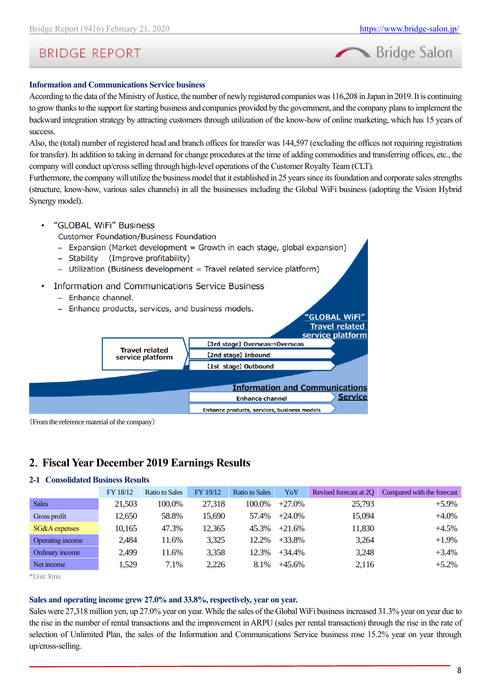

#### **Information and Communications Service business**

According to the data of the Ministry of Justice, the number of newly registered companies was 116,208 in Japan in 2019. It is continuing to grow thanks to the support for starting business and companies provided by the government, and the company plans to implement the backward integration strategy by attracting customers through utilization of the know-how of online marketing, which has 15 years of success.

Also, the (total) number of registered head and branch offices for transfer was 144,597 (excluding the offices not requiring registration for transfer). In addition to taking in demand for change procedures at the time of adding commodities and transferring offices, etc., the company will conduct up/cross selling through high-level operations of the Customer Royalty Team (CLT).

Furthermore, the company will utilize the business model that it established in 25 years since its foundation and corporate sales strengths (structure, know-how, various sales channels) in all the businesses including the Global WiFi business (adopting the Vision Hybrid Synergy model).

"GLOBAL WiFi" Business

**Customer Foundation/Business Foundation** 

- Expansion (Market development = Growth in each stage, global expansion)
- (Improve profitability) - Stability
- Utilization (Business development = Travel related service platform)
- Information and Communications Service Business
	- Enhance channel.
	- Enhance products, services, and business models.



(From the reference material of the company)

## **2**.**Fiscal Year December 2019 Earnings Results**

#### **2-1 Consolidated Business Results**

|                  | FY 18/12 | <b>Ratio to Sales</b> | FY 19/12 | Ratio to Sales | YoY       | Revised forecast at 20 | Compared with the forecast |
|------------------|----------|-----------------------|----------|----------------|-----------|------------------------|----------------------------|
| <b>Sales</b>     | 21,503   | 100.0%                | 27,318   | 100.0%         | $+27.0%$  | 25,793                 | $+5.9\%$                   |
| Gross profit     | 12.650   | 58.8%                 | 15,690   | 57.4%          | $+24.0\%$ | 15,094                 | $+4.0\%$                   |
| SG&A expenses    | 10.165   | 47.3%                 | 12,365   | 45.3%          | $+21.6%$  | 11,830                 | $+4.5%$                    |
| Operating income | 2,484    | 11.6%                 | 3,325    | 12.2%          | $+33.8%$  | 3,264                  | $+1.9\%$                   |
| Ordinary income  | 2,499    | 11.6%                 | 3,358    | 12.3%          | $+34.4%$  | 3,248                  | $+3.4%$                    |
| Net income       | 1,529    | 7.1%                  | 2,226    | 8.1%           | $+45.6%$  | 2,116                  | $+5.2%$                    |

\*Unit: ¥mn

#### **Sales and operating income grew 27.0% and 33.8%, respectively, year on year.**

Sales were 27,318 million yen, up 27.0% year on year. While the sales of the Global WiFi business increased 31.3% year on year due to the rise in the number of rental transactions and the improvement in ARPU (sales per rental transaction) through the rise in the rate of selection of Unlimited Plan, the sales of the Information and Communications Service business rose 15.2% year on year through up/cross-selling.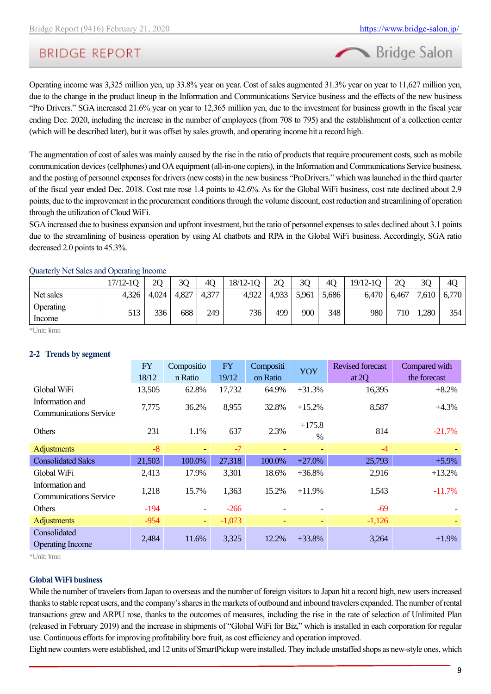Bridge Salon

## **BRIDGE REPORT**

Operating income was 3,325 million yen, up 33.8% year on year. Cost of sales augmented 31.3% year on year to 11,627 million yen, due to the change in the product lineup in the Information and Communications Service business and the effects of the new business "Pro Drivers." SGA increased 21.6% year on year to 12,365 million yen, due to the investment for business growth in the fiscal year ending Dec. 2020, including the increase in the number of employees (from 708 to 795) and the establishment of a collection center (which will be described later), but it was offset by sales growth, and operating income hit a record high.

The augmentation of cost of sales was mainly caused by the rise in the ratio of products that require procurement costs, such as mobile communication devices (cellphones) and OA equipment (all-in-one copiers), in the Information and Communications Service business, and the posting of personnel expenses for drivers (new costs) in the new business "ProDrivers." which was launched in the third quarter of the fiscal year ended Dec. 2018. Cost rate rose 1.4 points to 42.6%. As for the Global WiFi business, cost rate declined about 2.9 points, due to the improvement in the procurement conditions through the volume discount, cost reduction and streamlining of operation through the utilization of Cloud WiFi.

SGA increased due to business expansion and upfront investment, but the ratio of personnel expenses to sales declined about 3.1 points due to the streamlining of business operation by using AI chatbots and RPA in the Global WiFi business. Accordingly, SGA ratio decreased 2.0 points to 45.3%.

|                     | $17/12-1Q$ | 20    | 3Q    | 4 <sub>O</sub> | 18/12-1Q | 2Q    | 3Q    | 40    | $19/12-1Q$ | 2 <sub>O</sub>   | 30    | 4C    |
|---------------------|------------|-------|-------|----------------|----------|-------|-------|-------|------------|------------------|-------|-------|
| Net sales           | 4,326      | 4,024 | 4,827 | 4,377          | 4,922    | 4,933 | 5,961 | 5,686 | 6,470      | 6,467            | 7,610 | 6,770 |
| Operating<br>Income | 513        | 336   | 688   | 249            | 736      | 499   | 900   | 348   | 980        | 710 <sub>1</sub> | 1,280 | 354   |

Quarterly Net Sales and Operating Income

\*Unit: ¥mn

#### **2-2 Trends by segment**

|                                                  | <b>FY</b> | Compositio               | <b>FY</b> | Compositi | <b>YOY</b>               | <b>Revised forecast</b> | Compared with |
|--------------------------------------------------|-----------|--------------------------|-----------|-----------|--------------------------|-------------------------|---------------|
|                                                  | 18/12     | n Ratio                  | 19/12     | on Ratio  |                          | at $2Q$                 | the forecast  |
| Global WiFi                                      | 13,505    | 62.8%                    | 17,732    | 64.9%     | $+31.3%$                 | 16,395                  | $+8.2%$       |
| Information and                                  | 7,775     | 36.2%                    | 8,955     | 32.8%     | $+15.2%$                 | 8,587                   | $+4.3%$       |
| <b>Communications Service</b>                    |           |                          |           |           | $+175.8$                 |                         |               |
| <b>Others</b>                                    | 231       | 1.1%                     | 637       | 2.3%      | %                        | 814                     | $-21.7%$      |
| <b>Adjustments</b>                               | $-8$      | $\blacksquare$           | $-7$      | Ξ.        | ٠                        | $-4$                    |               |
| <b>Consolidated Sales</b>                        | 21,503    | 100.0%                   | 27,318    | 100.0%    | $+27.0%$                 | 25,793                  | $+5.9\%$      |
| Global WiFi                                      | 2,413     | 17.9%                    | 3,301     | 18.6%     | $+36.8%$                 | 2,916                   | $+13.2%$      |
| Information and<br><b>Communications Service</b> | 1,218     | 15.7%                    | 1,363     | 15.2%     | $+11.9%$                 | 1,543                   | $-11.7%$      |
| Others                                           | $-194$    | $\overline{\phantom{a}}$ | $-266$    |           |                          | $-69$                   |               |
| <b>Adjustments</b>                               | $-954$    | ÷                        | $-1,073$  | Ξ.        | $\overline{\phantom{a}}$ | $-1,126$                |               |
| Consolidated<br><b>Operating Income</b>          | 2,484     | 11.6%                    | 3,325     | 12.2%     | $+33.8%$                 | 3,264                   | $+1.9%$       |

\*Unit: ¥mn

#### **Global WiFi business**

While the number of travelers from Japan to overseas and the number of foreign visitors to Japan hit a record high, new users increased thanks to stable repeat users, and the company's shares in the markets of outbound and inbound travelers expanded. The number of rental transactions grew and ARPU rose, thanks to the outcomes of measures, including the rise in the rate of selection of Unlimited Plan (released in February 2019) and the increase in shipments of "Global WiFi for Biz," which is installed in each corporation for regular use. Continuous efforts for improving profitability bore fruit, as cost efficiency and operation improved.

Eight new counters were established, and 12 units of SmartPickup were installed. They include unstaffed shops as new-style ones, which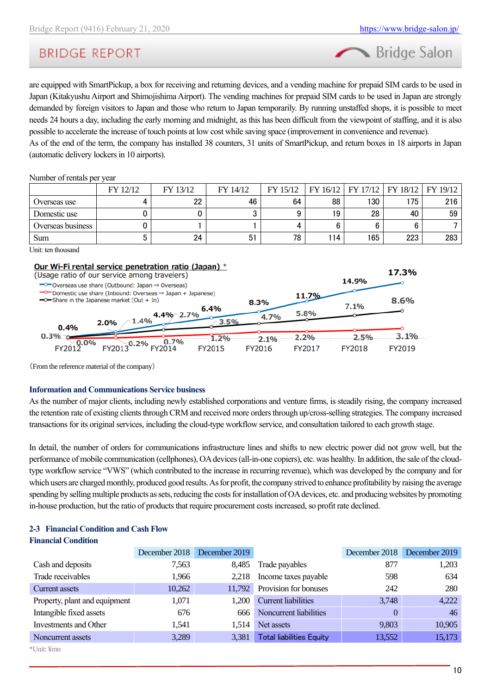Bridge Salon

are equipped with SmartPickup, a box for receiving and returning devices, and a vending machine for prepaid SIM cards to be used in Japan (Kitakyushu Airport and Shimojishima Airport). The vending machines for prepaid SIM cards to be used in Japan are strongly demanded by foreign visitors to Japan and those who return to Japan temporarily. By running unstaffed shops, it is possible to meet needs 24 hours a day, including the early morning and midnight, as this has been difficult from the viewpoint of staffing, and it is also possible to accelerate the increase of touch points at low cost while saving space (improvement in convenience and revenue).

As of the end of the term, the company has installed 38 counters, 31 units of SmartPickup, and return boxes in 18 airports in Japan (automatic delivery lockers in 10 airports).

#### Number of rentals per year

|                   | FY 12/12 | FY 13/12 | FY 14/12       | FY 15/12 | 16/12<br><b>FY</b> |     | FY 17/12   FY 18/12   FY 19/12 |     |
|-------------------|----------|----------|----------------|----------|--------------------|-----|--------------------------------|-----|
| Overseas use      |          | クク       | 46             | 64       | 88                 | 130 | 175                            | 216 |
| Domestic use      |          |          |                |          | 19                 | 28  | 40                             | 59  |
| Overseas business |          |          |                |          |                    |     |                                |     |
| Sum               |          | 24       | 5 <sup>1</sup> | 78       | 114                | 165 | 223                            | 283 |

Unit: ten thousand

#### Our Wi-Fi rental service penetration ratio (Japan) \*



(From the reference material of the company)

#### **Information and Communications Service business**

As the number of major clients, including newly established corporations and venture firms, is steadily rising, the company increased the retention rate of existing clients through CRM and received more orders through up/cross-selling strategies. The company increased transactions for its original services, including the cloud-type workflow service, and consultation tailored to each growth stage.

In detail, the number of orders for communications infrastructure lines and shifts to new electric power did not grow well, but the performance of mobile communication (cellphones), OA devices (all-in-one copiers), etc. was healthy. In addition, the sale of the cloudtype workflow service "VWS" (which contributed to the increase in recurring revenue), which was developed by the company and for which users are charged monthly, produced good results. As for profit, the company strived to enhance profitability by raising the average spending by selling multiple products as sets, reducing the costs for installation of OA devices, etc. and producing websites by promoting in-house production, but the ratio of products that require procurement costs increased, so profit rate declined.

#### **2-3 Financial Condition and Cash Flow Financial Condition**

|                               |        | December 2018 December 2019 |                                 | December 2018 December 2019 |        |
|-------------------------------|--------|-----------------------------|---------------------------------|-----------------------------|--------|
| Cash and deposits             | 7,563  | 8.485                       | Trade payables                  | 877                         | 1,203  |
| Trade receivables             | 1,966  | 2,218                       | Income taxes payable            | 598                         | 634    |
| Current assets                | 10,262 | 11,792                      | Provision for bonuses           | 242                         | 280    |
| Property, plant and equipment | 1,071  | 1.200                       | <b>Current liabilities</b>      | 3,748                       | 4,222  |
| Intangible fixed assets       | 676    | 666                         | Noncurrent liabilities          |                             | 46     |
| Investments and Other         | 1,541  | 1.514                       | Net assets                      | 9,803                       | 10,905 |
| Noncurrent assets             | 3,289  | 3,381                       | <b>Total liabilities Equity</b> | 13,552                      | 15,173 |
| *Unit: ¥mn                    |        |                             |                                 |                             |        |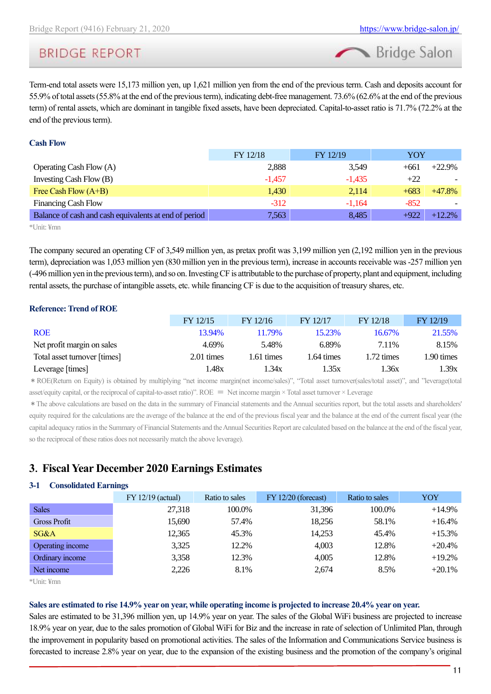Bridge Salon

Term-end total assets were 15,173 million yen, up 1,621 million yen from the end of the previous term. Cash and deposits account for 55.9% of total assets (55.8% at the end of the previous term), indicating debt-free management. 73.6% (62.6% at the end of the previous term) of rental assets, which are dominant in tangible fixed assets, have been depreciated. Capital-to-asset ratio is 71.7% (72.2% at the end of the previous term).

#### **Cash Flow**

|                                                       | FY 12/18 | FY 12/19 | YOY                |
|-------------------------------------------------------|----------|----------|--------------------|
| <b>Operating Cash Flow (A)</b>                        | 2,888    | 3,549    | $+22.9%$<br>$+661$ |
| Investing Cash Flow (B)                               | $-1.457$ | $-1.435$ | $+22$              |
| Free Cash Flow $(A+B)$                                | 1,430    | 2,114    | $+683$<br>$+47.8%$ |
| <b>Financing Cash Flow</b>                            | $-312$   | $-1.164$ | $-852$             |
| Balance of cash and cash equivalents at end of period | 7,563    | 8,485    | $+922$<br>$+12.2%$ |
|                                                       |          |          |                    |

\*Unit: ¥mn

The company secured an operating CF of 3,549 million yen, as pretax profit was 3,199 million yen (2,192 million yen in the previous term), depreciation was 1,053 million yen (830 million yen in the previous term), increase in accounts receivable was -257 million yen (-496 million yen in the previous term), and so on. InvestingCF is attributable to the purchase of property, plant and equipment, including rental assets, the purchase of intangible assets, etc. while financing CF is due to the acquisition of treasury shares, etc.

#### **Reference: Trend of ROE**

|                              | FY 12/15             | FY 12/16   | FY 12/17   | FY 12/18   | FY 12/19   |
|------------------------------|----------------------|------------|------------|------------|------------|
| <b>ROE</b>                   | 13.94%               | 11.79%     | 15.23%     | 16.67%     | 21.55%     |
| Net profit margin on sales   | 4.69%                | 5.48%      | 6.89%      | 7.11%      | 8.15%      |
| Total asset turnover [times] | $2.01 \text{ times}$ | 1.61 times | l.64 times | 1.72 times | 1.90 times |
| Leverage [times]             | l.48x                | 1.34x      | 1.35x      | 1.36x      | 1.39x      |

\*ROE(Return on Equity) is obtained by multiplying "net income margin(net income/sales)", "Total asset turnover(sales/total asset)", and "leverage(total asset/equity capital, or the reciprocal of capital-to-asset ratio)". ROE  $=$  Net income margin  $\times$  Total asset turnover  $\times$  Leverage

\*The above calculations are based on the data in the summary of Financial statements and the Annual securities report, but the total assets and shareholders' equity required for the calculations are the average of the balance at the end of the previous fiscal year and the balance at the end of the current fiscal year (the capital adequacy ratios in the Summary of Financial Statements and the Annual Securities Report are calculated based on the balance at the end of the fiscal year, so the reciprocal of these ratios does not necessarily match the above leverage).

## **3**.**Fiscal Year December 2020 Earnings Estimates**

#### <span id="page-10-0"></span>**3-1 Consolidated Earnings**

|                     | $FY 12/19$ (actual) | Ratio to sales | $FY 12/20$ (forecast) | Ratio to sales | YOY       |
|---------------------|---------------------|----------------|-----------------------|----------------|-----------|
| <b>Sales</b>        | 27,318              | 100.0%         | 31,396                | 100.0%         | $+14.9%$  |
| <b>Gross Profit</b> | 15,690              | 57.4%          | 18.256                | 58.1%          | $+16.4%$  |
| SG&A                | 12,365              | 45.3%          | 14,253                | 45.4%          | $+15.3%$  |
| Operating income    | 3,325               | 12.2%          | 4,003                 | 12.8%          | $+20.4%$  |
| Ordinary income     | 3,358               | 12.3%          | 4,005                 | 12.8%          | $+19.2%$  |
| Net income          | 2,226               | 8.1%           | 2,674                 | 8.5%           | $+20.1\%$ |

\*Unit: ¥mn

#### **Sales are estimated to rise 14.9% year on year, while operating income is projected to increase 20.4% year on year.**

Sales are estimated to be 31,396 million yen, up 14.9% year on year. The sales of the Global WiFi business are projected to increase 18.9% year on year, due to the sales promotion of Global WiFi for Biz and the increase in rate of selection of Unlimited Plan, through the improvement in popularity based on promotional activities. The sales of the Information and Communications Service business is forecasted to increase 2.8% year on year, due to the expansion of the existing business and the promotion of the company's original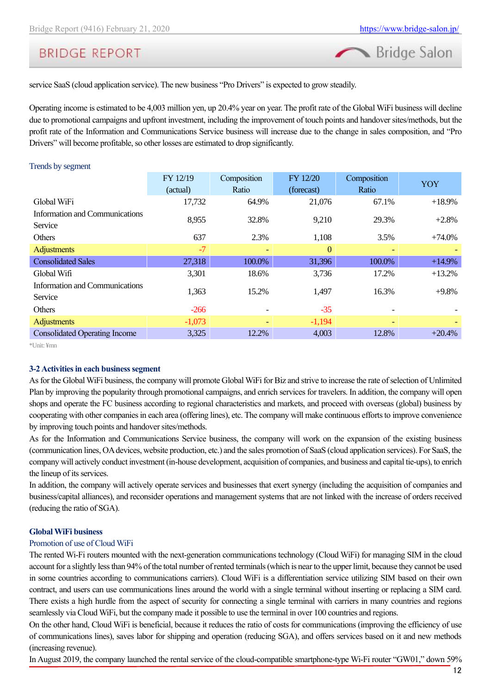

service SaaS (cloud application service). The new business "Pro Drivers" is expected to grow steadily.

Operating income is estimated to be 4,003 million yen, up 20.4% year on year. The profit rate of the Global WiFi business will decline due to promotional campaigns and upfront investment, including the improvement of touch points and handover sites/methods, but the profit rate of the Information and Communications Service business will increase due to the change in sales composition, and "Pro Drivers" will become profitable, so other losses are estimated to drop significantly.

#### Trends by segment FY 12/19 (actual) Composition Ratio FY 12/20 (forecast) Composition Ratio YOY Global WiFi 17,732 64.9% 21,076 67.1% +18.9% Information and Communications Service 8,955 8,955 32.8% 9,210 29.3% +2.8% Others 637 2.3% 1,108 3.5% +74.0% Adjustments -7 - 0 - - Consolidated Sales 27,318 100.0% 31,396 100.0% +14.9% Global Wifi 3,301 18.6% 3,736 17.2% +13.2% Information and Communications Service 1,363 15.2% 1,497 16.3% +9.8% Others  $-266$  -  $-35$  -  $-$ Adjustments  $-1,073$   $-1,194$   $-1,194$   $-1,194$ Consolidated Operating Income 3,325 12.2% 4,003 12.8% +20.4%

\*Unit: ¥mn

#### **3-2 Activities in each business segment**

As for the Global WiFi business, the company will promote Global WiFi for Biz and strive to increase the rate of selection of Unlimited Plan by improving the popularity through promotional campaigns, and enrich services for travelers. In addition, the company will open shops and operate the FC business according to regional characteristics and markets, and proceed with overseas (global) business by cooperating with other companies in each area (offering lines), etc. The company will make continuous efforts to improve convenience by improving touch points and handover sites/methods.

As for the Information and Communications Service business, the company will work on the expansion of the existing business (communication lines, OA devices, website production, etc.) and the sales promotion of SaaS (cloud application services). For SaaS, the company will actively conduct investment (in-house development, acquisition of companies, and business and capital tie-ups), to enrich the lineup of its services.

In addition, the company will actively operate services and businesses that exert synergy (including the acquisition of companies and business/capital alliances), and reconsider operations and management systems that are not linked with the increase of orders received (reducing the ratio of SGA).

#### **Global WiFi business**

#### Promotion of use of Cloud WiFi

The rented Wi-Fi routers mounted with the next-generation communications technology (Cloud WiFi) for managing SIM in the cloud account for a slightly less than 94% of the total number of rented terminals (which is near to the upper limit, because they cannot be used in some countries according to communications carriers). Cloud WiFi is a differentiation service utilizing SIM based on their own contract, and users can use communications lines around the world with a single terminal without inserting or replacing a SIM card. There exists a high hurdle from the aspect of security for connecting a single terminal with carriers in many countries and regions seamlessly via Cloud WiFi, but the company made it possible to use the terminal in over 100 countries and regions.

On the other hand, Cloud WiFi is beneficial, because it reduces the ratio of costs for communications (improving the efficiency of use of communications lines), saves labor for shipping and operation (reducing SGA), and offers services based on it and new methods (increasing revenue).

In August 2019, the company launched the rental service of the cloud-compatible smartphone-type Wi-Fi router "GW01," down 59%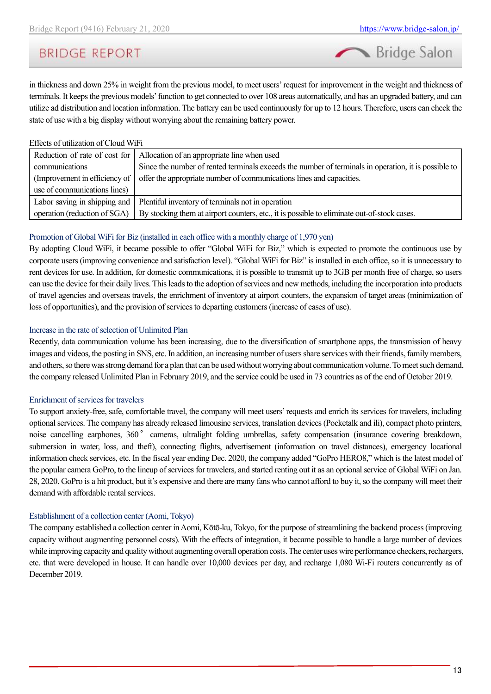Bridge Salon

in thickness and down 25% in weight from the previous model, to meet users' request for improvement in the weight and thickness of terminals. It keeps the previous models' function to get connected to over 108 areas automatically, and has an upgraded battery, and can utilize ad distribution and location information. The battery can be used continuously for up to 12 hours. Therefore, users can check the state of use with a big display without worrying about the remaining battery power.

#### Effects of utilization of Cloud WiFi

| Reduction of rate of cost for | Allocation of an appropriate line when used                                                          |
|-------------------------------|------------------------------------------------------------------------------------------------------|
| communications                | Since the number of rented terminals exceeds the number of terminals in operation, it is possible to |
| (Improvement in efficiency of | offer the appropriate number of communications lines and capacities.                                 |
| use of communications lines)  |                                                                                                      |
| Labor saving in shipping and  | Plentiful inventory of terminals not in operation                                                    |
| operation (reduction of SGA)  | By stocking them at airport counters, etc., it is possible to eliminate out-of-stock cases.          |

#### Promotion of Global WiFi for Biz (installed in each office with a monthly charge of 1,970 yen)

By adopting Cloud WiFi, it became possible to offer "Global WiFi for Biz," which is expected to promote the continuous use by corporate users (improving convenience and satisfaction level). "Global WiFi for Biz" is installed in each office, so it is unnecessary to rent devices for use. In addition, for domestic communications, it is possible to transmit up to 3GB per month free of charge, so users can use the device for their daily lives. This leads to the adoption of services and new methods, including the incorporation into products of travel agencies and overseas travels, the enrichment of inventory at airport counters, the expansion of target areas (minimization of loss of opportunities), and the provision of services to departing customers (increase of cases of use).

#### Increase in the rate of selection of Unlimited Plan

Recently, data communication volume has been increasing, due to the diversification of smartphone apps, the transmission of heavy images and videos, the posting in SNS, etc. In addition, an increasing number of users share services with their friends, family members, and others, so there was strong demand for a plan that can be used without worrying about communication volume. To meet such demand, the company released Unlimited Plan in February 2019, and the service could be used in 73 countries as of the end of October 2019.

#### Enrichment of services for travelers

To support anxiety-free, safe, comfortable travel, the company will meet users' requests and enrich its services for travelers, including optional services. The company has already released limousine services, translation devices (Pocketalk and ili), compact photo printers, noise cancelling earphones, 360° cameras, ultralight folding umbrellas, safety compensation (insurance covering breakdown, submersion in water, loss, and theft), connecting flights, advertisement (information on travel distances), emergency locational information check services, etc. In the fiscal year ending Dec. 2020, the company added "GoPro HERO8," which is the latest model of the popular camera GoPro, to the lineup of services for travelers, and started renting out it as an optional service of Global WiFi on Jan. 28, 2020. GoPro is a hit product, but it's expensive and there are many fans who cannot afford to buy it, so the company will meet their demand with affordable rental services.

#### Establishment of a collection center (Aomi, Tokyo)

The company established a collection center in Aomi, Kōtō-ku, Tokyo, for the purpose of streamlining the backend process (improving capacity without augmenting personnel costs). With the effects of integration, it became possible to handle a large number of devices while improving capacity and quality without augmenting overall operation costs. The center uses wire performance checkers, rechargers, etc. that were developed in house. It can handle over 10,000 devices per day, and recharge 1,080 Wi-Fi routers concurrently as of December 2019.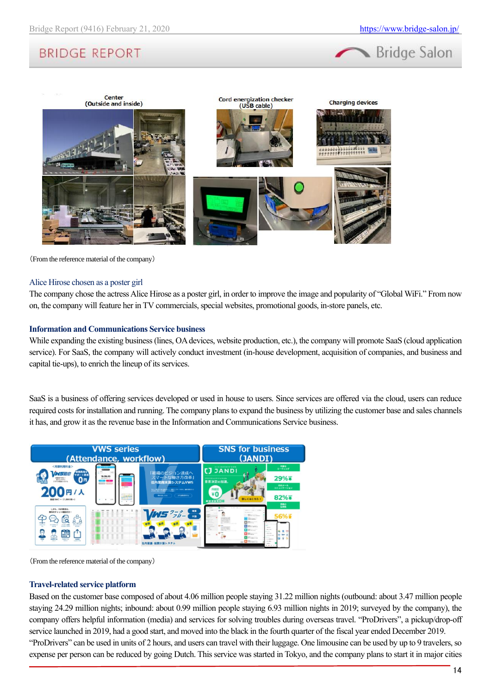



(From the reference material of the company)

#### Alice Hirose chosen as a poster girl

The company chose the actress Alice Hirose as a poster girl, in order to improve the image and popularity of "Global WiFi." From now on, the company will feature her in TV commercials, special websites, promotional goods, in-store panels, etc.

#### **Information and Communications Service business**

While expanding the existing business (lines, OA devices, website production, etc.), the company will promote SaaS (cloud application service). For SaaS, the company will actively conduct investment (in-house development, acquisition of companies, and business and capital tie-ups), to enrich the lineup of its services.

SaaS is a business of offering services developed or used in house to users. Since services are offered via the cloud, users can reduce required costs for installation and running. The company plans to expand the business by utilizing the customer base and sales channels it has, and grow it as the revenue base in the Information and Communications Service business.



(From the reference material of the company)

#### **Travel-related service platform**

Based on the customer base composed of about 4.06 million people staying 31.22 million nights (outbound: about 3.47 million people staying 24.29 million nights; inbound: about 0.99 million people staying 6.93 million nights in 2019; surveyed by the company), the company offers helpful information (media) and services for solving troubles during overseas travel. "ProDrivers", a pickup/drop-off service launched in 2019, had a good start, and moved into the black in the fourth quarter of the fiscal year ended December 2019. "ProDrivers" can be used in units of 2 hours, and users can travel with their luggage. One limousine can be used by up to 9 travelers, so expense per person can be reduced by going Dutch. This service was started in Tokyo, and the company plans to start it in major cities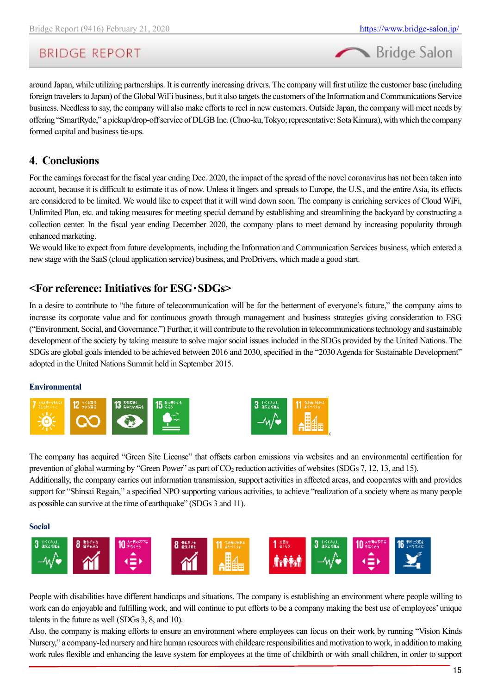Bridge Salon

around Japan, while utilizing partnerships. It is currently increasing drivers. The company will first utilize the customer base (including foreign travelers to Japan) of the Global WiFi business, but it also targets the customers of the Information and Communications Service business. Needless to say, the company will also make efforts to reel in new customers. Outside Japan, the company will meet needs by offering "SmartRyde," a pickup/drop-off service of DLGB Inc. (Chuo-ku, Tokyo; representative: Sota Kimura), with which the company formed capital and business tie-ups.

## <span id="page-14-0"></span>**4**.**Conclusions**

For the earnings forecast for the fiscal year ending Dec. 2020, the impact of the spread of the novel coronavirus has not been taken into account, because it is difficult to estimate it as of now. Unless it lingers and spreads to Europe, the U.S., and the entire Asia, its effects are considered to be limited. We would like to expect that it will wind down soon. The company is enriching services of Cloud WiFi, Unlimited Plan, etc. and taking measures for meeting special demand by establishing and streamlining the backyard by constructing a collection center. In the fiscal year ending December 2020, the company plans to meet demand by increasing popularity through enhanced marketing.

We would like to expect from future developments, including the Information and Communication Services business, which entered a new stage with the SaaS (cloud application service) business, and ProDrivers, which made a good start.

## <span id="page-14-1"></span>**<For reference: Initiatives for ESG**・**SDGs>**

In a desire to contribute to "the future of telecommunication will be for the betterment of everyone's future," the company aims to increase its corporate value and for continuous growth through management and business strategies giving consideration to ESG ("Environment, Social, and Governance.") Further, it will contribute to the revolution in telecommunications technology and sustainable development of the society by taking measure to solve major social issues included in the SDGs provided by the United Nations. The SDGs are global goals intended to be achieved between 2016 and 2030, specified in the "2030 Agenda for Sustainable Development" adopted in the United Nations Summit held in September 2015.

#### **Environmental**



The company has acquired "Green Site License" that offsets carbon emissions via websites and an environmental certification for prevention of global warming by "Green Power" as part of CO<sub>2</sub> reduction activities of websites (SDGs 7, 12, 13, and 15).

Additionally, the company carries out information transmission, support activities in affected areas, and cooperates with and provides support for "Shinsai Regain," a specified NPO supporting various activities, to achieve "realization of a society where as many people as possible can survive at the time of earthquake" (SDGs 3 and 11).

#### **Social**



People with disabilities have different handicaps and situations. The company is establishing an environment where people willing to work can do enjoyable and fulfilling work, and will continue to put efforts to be a company making the best use of employees' unique talents in the future as well (SDGs 3, 8, and 10).

Also, the company is making efforts to ensure an environment where employees can focus on their work by running "Vision Kinds Nursery," a company-led nursery and hire human resources with childcare responsibilities and motivation to work, in addition to making work rules flexible and enhancing the leave system for employees at the time of childbirth or with small children, in order to support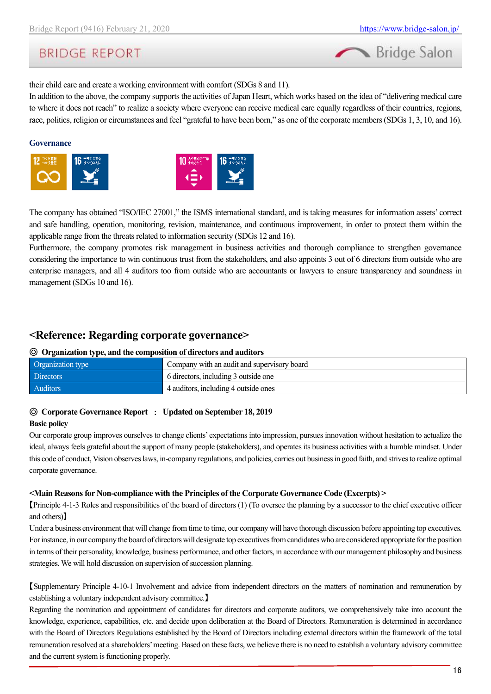

their child care and create a working environment with comfort (SDGs 8 and 11).

In addition to the above, the company supports the activities of Japan Heart, which works based on the idea of "delivering medical care to where it does not reach" to realize a society where everyone can receive medical care equally regardless of their countries, regions, race, politics, religion or circumstances and feel "grateful to have been born," as one of the corporate members (SDGs 1, 3, 10, and 16).

#### **Governance**





The company has obtained "ISO/IEC 27001," the ISMS international standard, and is taking measures for information assets' correct and safe handling, operation, monitoring, revision, maintenance, and continuous improvement, in order to protect them within the applicable range from the threats related to information security (SDGs 12 and 16).

Furthermore, the company promotes risk management in business activities and thorough compliance to strengthen governance considering the importance to win continuous trust from the stakeholders, and also appoints 3 out of 6 directors from outside who are enterprise managers, and all 4 auditors too from outside who are accountants or lawyers to ensure transparency and soundness in management (SDGs 10 and 16).

## <span id="page-15-0"></span>**<Reference: Regarding corporate governance>**

#### ◎ **Organization type, and the composition of directors and auditors**

| Organization type | Company with an audit and supervisory board |
|-------------------|---------------------------------------------|
| <b>Directors</b>  | 6 directors, including 3 outside one        |
| <b>Auditors</b>   | 4 auditors, including 4 outside ones        |

#### ◎ **Corporate Governance Report** : **Updated on September 18, 2019**

#### **Basic policy**

Our corporate group improves ourselves to change clients' expectations into impression, pursues innovation without hesitation to actualize the ideal, always feels grateful about the support of many people (stakeholders), and operates its business activities with a humble mindset. Under this code of conduct, Vision observes laws, in-company regulations, and policies, carries out business in good faith, and strives to realize optimal corporate governance.

#### **<Main Reasons for Non-compliance with the Principles of the Corporate Governance Code (Excerpts) >**

【Principle 4-1-3 Roles and responsibilities of the board of directors (1) (To oversee the planning by a successor to the chief executive officer and others)】

Under a business environment that will change from time to time, our company will have thorough discussion before appointing top executives. For instance, in our company the board of directors will designate top executives from candidates who are considered appropriate for the position in terms of their personality, knowledge, business performance, and other factors, in accordance with our management philosophy and business strategies. We will hold discussion on supervision of succession planning.

【Supplementary Principle 4-10-1 Involvement and advice from independent directors on the matters of nomination and remuneration by establishing a voluntary independent advisory committee.】

Regarding the nomination and appointment of candidates for directors and corporate auditors, we comprehensively take into account the knowledge, experience, capabilities, etc. and decide upon deliberation at the Board of Directors. Remuneration is determined in accordance with the Board of Directors Regulations established by the Board of Directors including external directors within the framework of the total remuneration resolved at a shareholders' meeting. Based on these facts, we believe there is no need to establish a voluntary advisory committee and the current system is functioning properly.